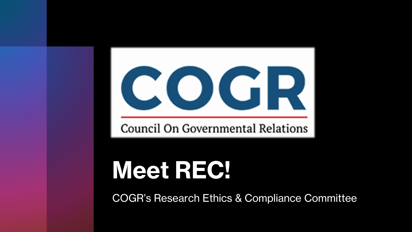# ICOGRI **Council On Governmental Relations**

## **Meet REC!**

COGR's Research Ethics & Compliance Committee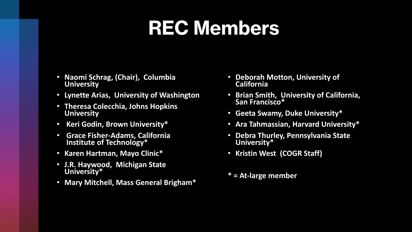### **REC Members**

- **Naomi Schrag, (Chair), Columbia University**
- **Lynette Arias, University of Washington**
- **Theresa Colecchia, Johns Hopkins University**
- **Keri Godin, Brown University\***
- **Grace Fisher-Adams, California Institute of Technology\***
- **Karen Hartman, Mayo Clinic\***
- **J.R. Haywood, Michigan State University\***
- **Mary Mitchell, Mass General Brigham\***
- **Deborah Motton, University of California**
- **Brian Smith, University of California, San Francisco\***
- **Geeta Swamy, Duke University\***
- **Ara Tahmassian, Harvard University\***
- **Debra Thurley, Pennsylvania State University\***
- **Kristin West (COGR Staff)**
- **\* = At-large member**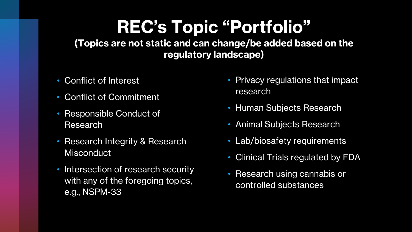#### **REC's Topic "Portfolio"**

**(Topics are not static and can change/be added based on the regulatory landscape)** 

- Conflict of Interest
- Conflict of Commitment
- Responsible Conduct of Research
- Research Integrity & Research **Misconduct**
- Intersection of research security with any of the foregoing topics, e.g., NSPM-33
- Privacy regulations that impact research
- Human Subjects Research
- Animal Subjects Research
- Lab/biosafety requirements
- Clinical Trials regulated by FDA
- Research using cannabis or controlled substances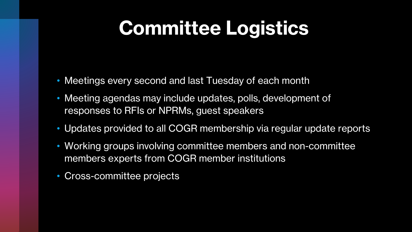#### **Committee Logistics**

- Meetings every second and last Tuesday of each month
- Meeting agendas may include updates, polls, development of responses to RFIs or NPRMs, guest speakers
- Updates provided to all COGR membership via regular update reports
- Working groups involving committee members and non-committee members experts from COGR member institutions
- Cross-committee projects